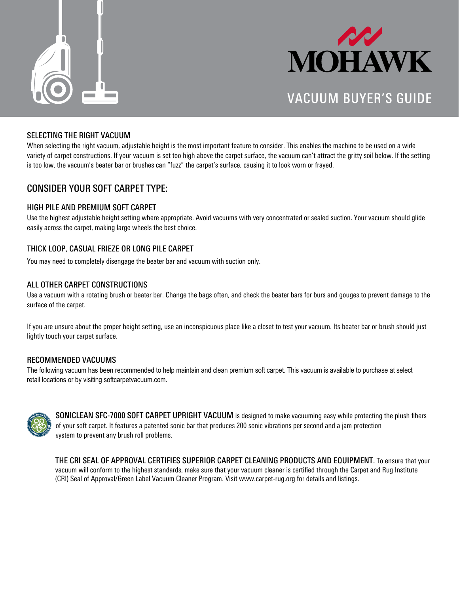



## VACUUM BUYER'S GUIDE

#### SELECTING THE RIGHT VACUUM

When selecting the right vacuum, adjustable height is the most important feature to consider. This enables the machine to be used on a wide variety of carpet constructions. If your vacuum is set too high above the carpet surface, the vacuum can't attract the gritty soil below. If the setting is too low, the vacuum's beater bar or brushes can "fuzz" the carpet's surface, causing it to look worn or frayed.

### CONSIDER YOUR SOFT CARPET TYPE:

#### HIGH PILE AND PREMIUM SOFT CARPET

Use the highest adjustable height setting where appropriate. Avoid vacuums with very concentrated or sealed suction. Your vacuum should glide easily across the carpet, making large wheels the best choice.

#### THICK LOOP, CASUAL FRIEZE OR LONG PILE CARPET

You may need to completely disengage the beater bar and vacuum with suction only.

#### ALL OTHER CARPET CONSTRUCTIONS

Use a vacuum with a rotating brush or beater bar. Change the bags often, and check the beater bars for burs and gouges to prevent damage to the surface of the carpet.

If you are unsure about the proper height setting, use an inconspicuous place like a closet to test your vacuum. Its beater bar or brush should just lightly touch your carpet surface.

#### RECOMMENDED VACUUMS

The following vacuum has been recommended to help maintain and clean premium soft carpet. This vacuum is available to purchase at select retail locations or by visiting softcarpetvacuum.com.



SONICLEAN SFC-7000 SOFT CARPET UPRIGHT VACUUM is designed to make vacuuming easy while protecting the plush fbers of your soft carpet. It features a patented sonic bar that produces 200 sonic vibrations per second and a jam protection system to prevent any brush roll problems.

THE CRI SEAL OF APPROVAL CERTIFIES SUPERIOR CARPET CLEANING PRODUCTS AND EQUIPMENT. To ensure that your vacuum will conform to the highest standards, make sure that your vacuum cleaner is certifed through the Carpet and Rug Institute (CRI) Seal of Approval/Green Label Vacuum Cleaner Program. Visit www.carpet-rug.org for details and listings.